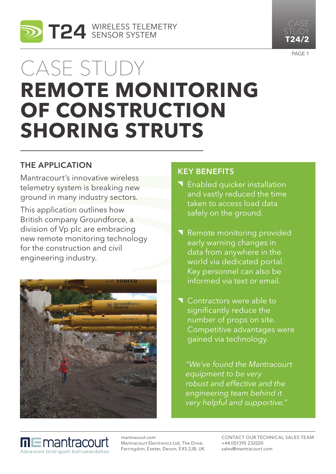

# Case study **remote monitoring OF CONSTRUCTION shoring struts**

### The Application

Mantracourt's innovative wireless telemetry system is breaking new ground in many industry sectors.

This application outlines how British company Groundforce, a division of Vp plc are embracing new remote monitoring technology for the construction and civil engineering industry.



### Key benefits

- **T** Enabled quicker installation and vastly reduced the time taken to access load data safely on the ground.
- Remote monitoring provided early warning changes in data from anywhere in the world via dedicated portal. Key personnel can also be informed via text or email.
- Contractors were able to significantly reduce the number of props on site. Competitive advantages were gained via technology.

*"We've found the Mantracourt equipment to be very robust and effective and the engineering team behind it very helpful and supportive."*

mantracout.com **⊓l⊑**mantracou Mantracourt Electronics Ltd, The Drive, Farringdon, Exeter, Devon, EX5 2JB, UK **Advanced Intelligent Instrumentation** 

Contact our Technical Sales Team +44 (0)1395 232020 sales@mantracourt.com



**T24/2**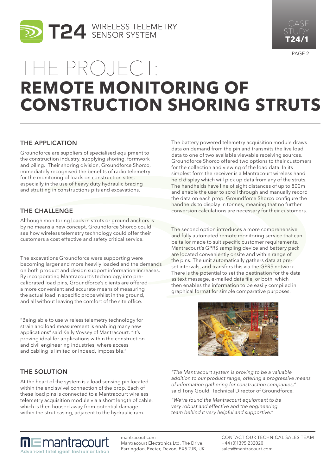



## The project: **remote monitoring of construction shoring struts**

#### The Application

Groundforce are suppliers of specialised equipment to the construction industry, supplying shoring, formwork and piling. Their shoring division, Groundforce Shorco, immediately recognised the benefits of radio telemetry for the monitoring of loads on construction sites, especially in the use of heavy duty hydraulic bracing and strutting in constructions pits and excavations.

#### The Challenge

Although monitoring loads in struts or ground anchors is by no means a new concept, Groundforce Shorco could see how wireless telemetry technology could offer their customers a cost effective and safety critical service.

The excavations Groundforce were supporting were becoming larger and more heavily loaded and the demands on both product and design support information increases. By incorporating Mantracourt's technology into precalibrated load pins, Groundforce's clients are offered a more convenient and accurate means of measuring the actual load in specific props whilst in the ground, and all without leaving the comfort of the site office.

"Being able to use wireless telemetry technology for strain and load measurement is enabling many new applications" said Kelly Voysey of Mantracourt. "It's proving ideal for applications within the construction and civil engineering industries, where access and cabling is limited or indeed, impossible."

#### The Solution

At the heart of the system is a load sensing pin located within the end swivel connection of the prop. Each of these load pins is connected to a Mantracourt wireless telemetry acquisition module via a short length of cable, which is then housed away from potential damage within the strut casing, adjacent to the hydraulic ram.

The battery powered telemetry acquisition module draws data on demand from the pin and transmits the live load data to one of two available viewable receiving sources. Groundforce Shorco offered two options to their customers for the collection and viewing of the load data. In its simplest form the receiver is a Mantracourt wireless hand held display which will pick up data from any of the struts. The handhelds have line of sight distances of up to 800m and enable the user to scroll through and manually record the data on each prop. Groundforce Shorco configure the handhelds to display in tonnes, meaning that no further conversion calculations are necessary for their customers.

The second option introduces a more comprehensive and fully automated remote monitoring service that can be tailor made to suit specific customer requirements. Mantracourt's GPRS sampling device and battery pack are located conveniently onsite and within range of the pins. The unit automatically gathers data at preset intervals, and transfers this via the GPRS network. There is the potential to set the destination for the data as text message, e-mailed data file, or both, which then enables the information to be easily compiled in graphical format for simple comparative purposes.



*"The Mantracourt system is proving to be a valuable addition to our product range, offering a progressive means of information gathering for construction companies,"*  said Tony Gould, Technical Director of Groundforce.

*"We've found the Mantracourt equipment to be very robust and effective and the engineering team behind it very helpful and supportive."*

**m⊑**mantracourt **Advanced Intelligent Instrumentation**  mantracout.com Mantracourt Electronics Ltd, The Drive, Farringdon, Exeter, Devon, EX5 2JB, UK Contact our Technical Sales Team +44 (0)1395 232020 sales@mantracourt.com